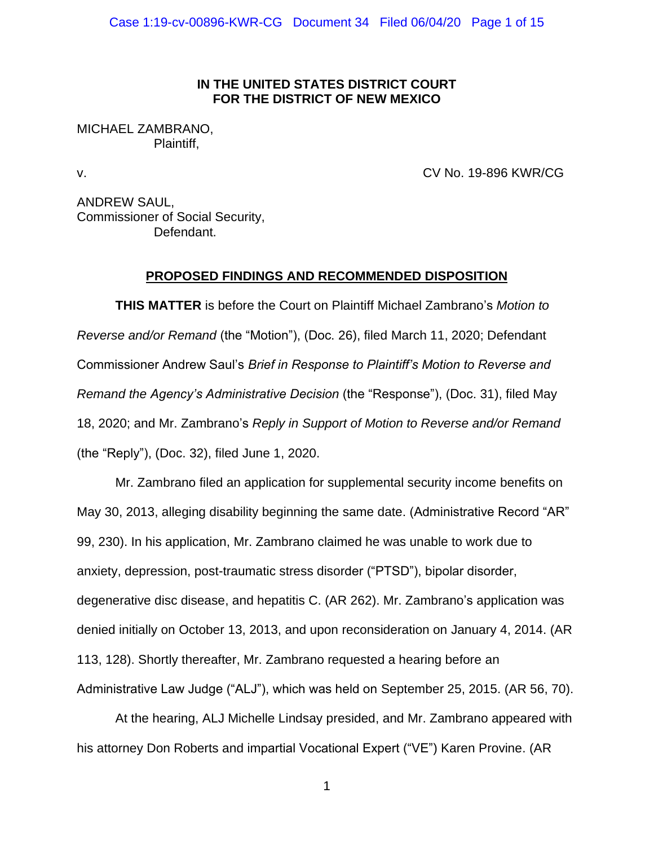## **IN THE UNITED STATES DISTRICT COURT FOR THE DISTRICT OF NEW MEXICO**

# MICHAEL ZAMBRANO, Plaintiff,

v. CV No. 19-896 KWR/CG

ANDREW SAUL, Commissioner of Social Security, Defendant.

## **PROPOSED FINDINGS AND RECOMMENDED DISPOSITION**

**THIS MATTER** is before the Court on Plaintiff Michael Zambrano's *Motion to Reverse and/or Remand* (the "Motion"), (Doc. 26), filed March 11, 2020; Defendant Commissioner Andrew Saul's *Brief in Response to Plaintiff's Motion to Reverse and Remand the Agency's Administrative Decision* (the "Response"), (Doc. 31), filed May 18, 2020; and Mr. Zambrano's *Reply in Support of Motion to Reverse and/or Remand* (the "Reply"), (Doc. 32), filed June 1, 2020.

Mr. Zambrano filed an application for supplemental security income benefits on May 30, 2013, alleging disability beginning the same date. (Administrative Record "AR" 99, 230). In his application, Mr. Zambrano claimed he was unable to work due to anxiety, depression, post-traumatic stress disorder ("PTSD"), bipolar disorder, degenerative disc disease, and hepatitis C. (AR 262). Mr. Zambrano's application was denied initially on October 13, 2013, and upon reconsideration on January 4, 2014. (AR 113, 128). Shortly thereafter, Mr. Zambrano requested a hearing before an Administrative Law Judge ("ALJ"), which was held on September 25, 2015. (AR 56, 70).

At the hearing, ALJ Michelle Lindsay presided, and Mr. Zambrano appeared with his attorney Don Roberts and impartial Vocational Expert ("VE") Karen Provine. (AR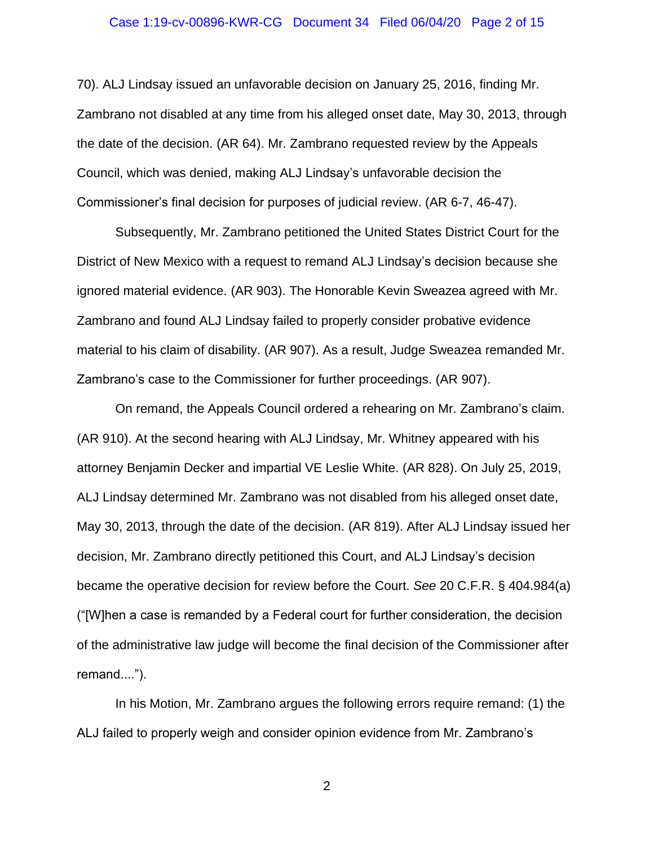#### Case 1:19-cv-00896-KWR-CG Document 34 Filed 06/04/20 Page 2 of 15

70). ALJ Lindsay issued an unfavorable decision on January 25, 2016, finding Mr. Zambrano not disabled at any time from his alleged onset date, May 30, 2013, through the date of the decision. (AR 64). Mr. Zambrano requested review by the Appeals Council, which was denied, making ALJ Lindsay's unfavorable decision the Commissioner's final decision for purposes of judicial review. (AR 6-7, 46-47).

Subsequently, Mr. Zambrano petitioned the United States District Court for the District of New Mexico with a request to remand ALJ Lindsay's decision because she ignored material evidence. (AR 903). The Honorable Kevin Sweazea agreed with Mr. Zambrano and found ALJ Lindsay failed to properly consider probative evidence material to his claim of disability. (AR 907). As a result, Judge Sweazea remanded Mr. Zambrano's case to the Commissioner for further proceedings. (AR 907).

On remand, the Appeals Council ordered a rehearing on Mr. Zambrano's claim. (AR 910). At the second hearing with ALJ Lindsay, Mr. Whitney appeared with his attorney Benjamin Decker and impartial VE Leslie White. (AR 828). On July 25, 2019, ALJ Lindsay determined Mr. Zambrano was not disabled from his alleged onset date, May 30, 2013, through the date of the decision. (AR 819). After ALJ Lindsay issued her decision, Mr. Zambrano directly petitioned this Court, and ALJ Lindsay's decision became the operative decision for review before the Court. *See* 20 C.F.R. § 404.984(a) ("[W]hen a case is remanded by a Federal court for further consideration, the decision of the administrative law judge will become the final decision of the Commissioner after remand....").

In his Motion, Mr. Zambrano argues the following errors require remand: (1) the ALJ failed to properly weigh and consider opinion evidence from Mr. Zambrano's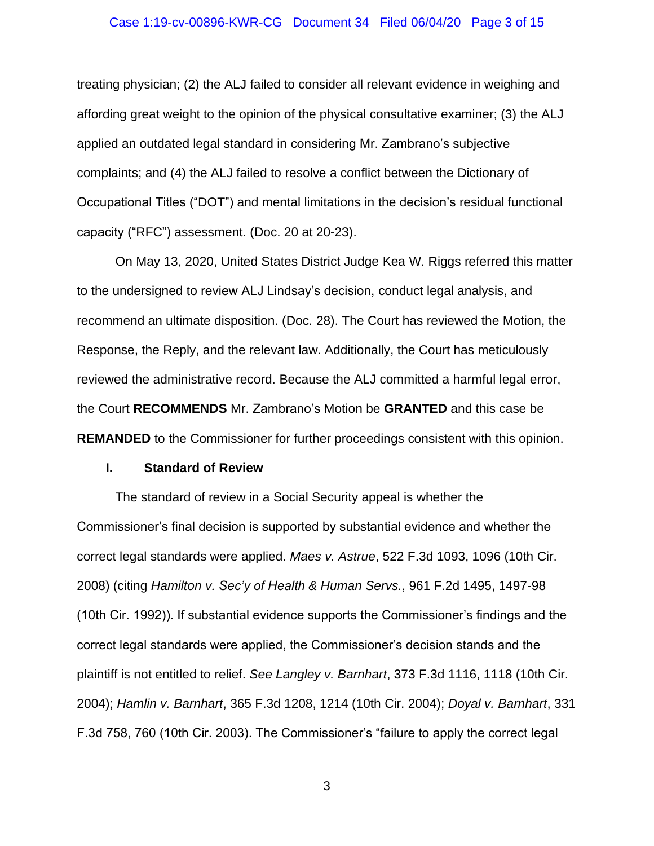#### Case 1:19-cv-00896-KWR-CG Document 34 Filed 06/04/20 Page 3 of 15

treating physician; (2) the ALJ failed to consider all relevant evidence in weighing and affording great weight to the opinion of the physical consultative examiner; (3) the ALJ applied an outdated legal standard in considering Mr. Zambrano's subjective complaints; and (4) the ALJ failed to resolve a conflict between the Dictionary of Occupational Titles ("DOT") and mental limitations in the decision's residual functional capacity ("RFC") assessment. (Doc. 20 at 20-23).

On May 13, 2020, United States District Judge Kea W. Riggs referred this matter to the undersigned to review ALJ Lindsay's decision, conduct legal analysis, and recommend an ultimate disposition. (Doc. 28). The Court has reviewed the Motion, the Response, the Reply, and the relevant law. Additionally, the Court has meticulously reviewed the administrative record. Because the ALJ committed a harmful legal error, the Court **RECOMMENDS** Mr. Zambrano's Motion be **GRANTED** and this case be **REMANDED** to the Commissioner for further proceedings consistent with this opinion.

### **I. Standard of Review**

The standard of review in a Social Security appeal is whether the Commissioner's final decision is supported by substantial evidence and whether the correct legal standards were applied. *Maes v. Astrue*, 522 F.3d 1093, 1096 (10th Cir. 2008) (citing *Hamilton v. Sec'y of Health & Human Servs.*, 961 F.2d 1495, 1497-98 (10th Cir. 1992)). If substantial evidence supports the Commissioner's findings and the correct legal standards were applied, the Commissioner's decision stands and the plaintiff is not entitled to relief. *See Langley v. Barnhart*, 373 F.3d 1116, 1118 (10th Cir. 2004); *Hamlin v. Barnhart*, 365 F.3d 1208, 1214 (10th Cir. 2004); *Doyal v. Barnhart*, 331 F.3d 758, 760 (10th Cir. 2003). The Commissioner's "failure to apply the correct legal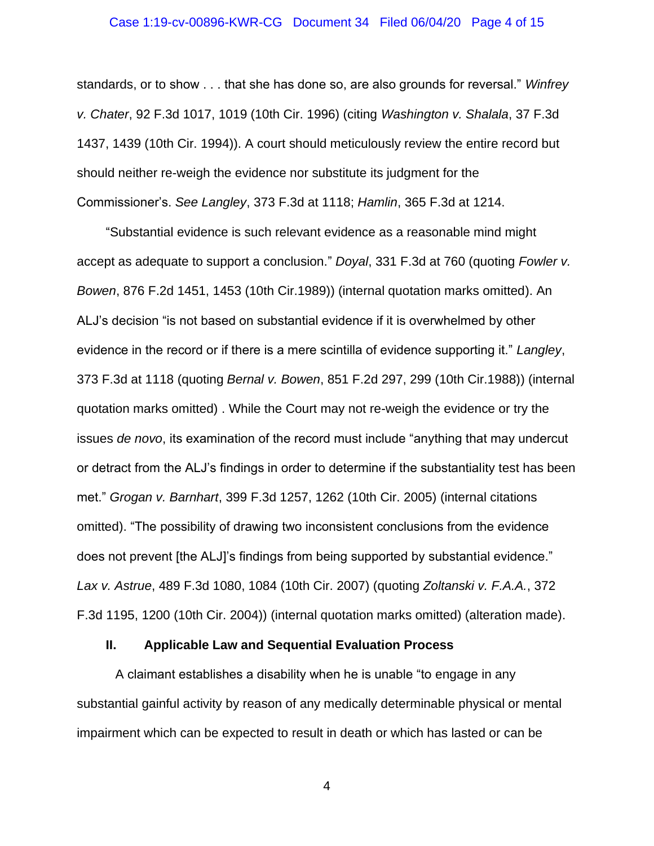#### Case 1:19-cv-00896-KWR-CG Document 34 Filed 06/04/20 Page 4 of 15

standards, or to show . . . that she has done so, are also grounds for reversal." *Winfrey v. Chater*, 92 F.3d 1017, 1019 (10th Cir. 1996) (citing *Washington v. Shalala*, 37 F.3d 1437, 1439 (10th Cir. 1994)). A court should meticulously review the entire record but should neither re-weigh the evidence nor substitute its judgment for the Commissioner's. *See Langley*, 373 F.3d at 1118; *Hamlin*, 365 F.3d at 1214.

"Substantial evidence is such relevant evidence as a reasonable mind might accept as adequate to support a conclusion." *Doyal*, 331 F.3d at 760 (quoting *Fowler v. Bowen*, 876 F.2d 1451, 1453 (10th Cir.1989)) (internal quotation marks omitted). An ALJ's decision "is not based on substantial evidence if it is overwhelmed by other evidence in the record or if there is a mere scintilla of evidence supporting it." *Langley*, 373 F.3d at 1118 (quoting *Bernal v. Bowen*, 851 F.2d 297, 299 (10th Cir.1988)) (internal quotation marks omitted) . While the Court may not re-weigh the evidence or try the issues *de novo*, its examination of the record must include "anything that may undercut or detract from the ALJ's findings in order to determine if the substantiality test has been met." *Grogan v. Barnhart*, 399 F.3d 1257, 1262 (10th Cir. 2005) (internal citations omitted). "The possibility of drawing two inconsistent conclusions from the evidence does not prevent [the ALJ]'s findings from being supported by substantial evidence." *Lax v. Astrue*, 489 F.3d 1080, 1084 (10th Cir. 2007) (quoting *Zoltanski v. F.A.A.*, 372 F.3d 1195, 1200 (10th Cir. 2004)) (internal quotation marks omitted) (alteration made).

## **II. Applicable Law and Sequential Evaluation Process**

A claimant establishes a disability when he is unable "to engage in any substantial gainful activity by reason of any medically determinable physical or mental impairment which can be expected to result in death or which has lasted or can be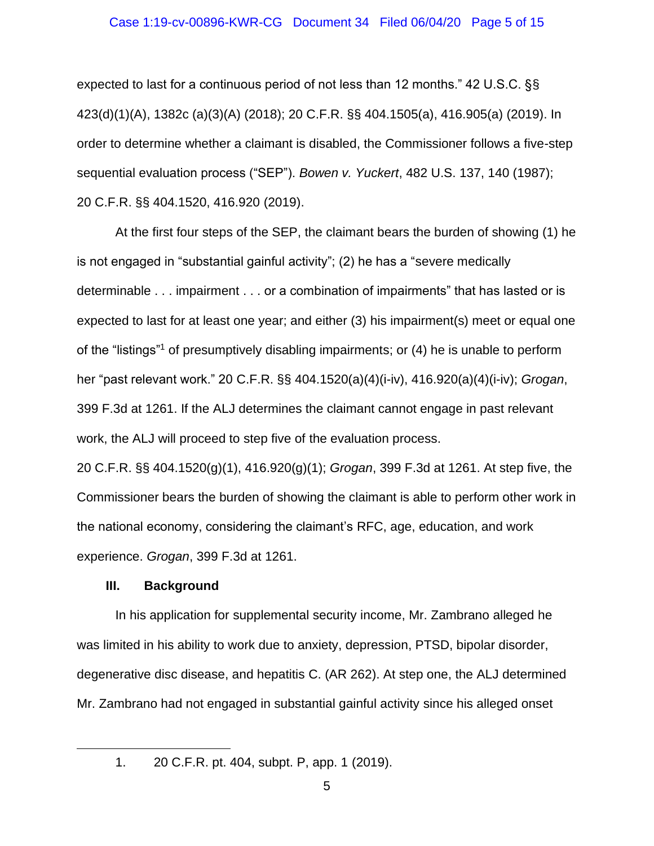#### Case 1:19-cv-00896-KWR-CG Document 34 Filed 06/04/20 Page 5 of 15

expected to last for a continuous period of not less than 12 months." 42 U.S.C. §§ 423(d)(1)(A), 1382c (a)(3)(A) (2018); 20 C.F.R. §§ 404.1505(a), 416.905(a) (2019). In order to determine whether a claimant is disabled, the Commissioner follows a five-step sequential evaluation process ("SEP"). *Bowen v. Yuckert*, 482 U.S. 137, 140 (1987); 20 C.F.R. §§ 404.1520, 416.920 (2019).

At the first four steps of the SEP, the claimant bears the burden of showing (1) he is not engaged in "substantial gainful activity"; (2) he has a "severe medically determinable . . . impairment . . . or a combination of impairments" that has lasted or is expected to last for at least one year; and either (3) his impairment(s) meet or equal one of the "listings"<sup>1</sup> of presumptively disabling impairments; or (4) he is unable to perform her "past relevant work." 20 C.F.R. §§ 404.1520(a)(4)(i-iv), 416.920(a)(4)(i-iv); *Grogan*, 399 F.3d at 1261. If the ALJ determines the claimant cannot engage in past relevant work, the ALJ will proceed to step five of the evaluation process.

20 C.F.R. §§ 404.1520(g)(1), 416.920(g)(1); *Grogan*, 399 F.3d at 1261. At step five, the Commissioner bears the burden of showing the claimant is able to perform other work in the national economy, considering the claimant's RFC, age, education, and work experience. *Grogan*, 399 F.3d at 1261.

### **III. Background**

In his application for supplemental security income, Mr. Zambrano alleged he was limited in his ability to work due to anxiety, depression, PTSD, bipolar disorder, degenerative disc disease, and hepatitis C. (AR 262). At step one, the ALJ determined Mr. Zambrano had not engaged in substantial gainful activity since his alleged onset

<sup>1.</sup> 20 C.F.R. pt. 404, subpt. P, app. 1 (2019).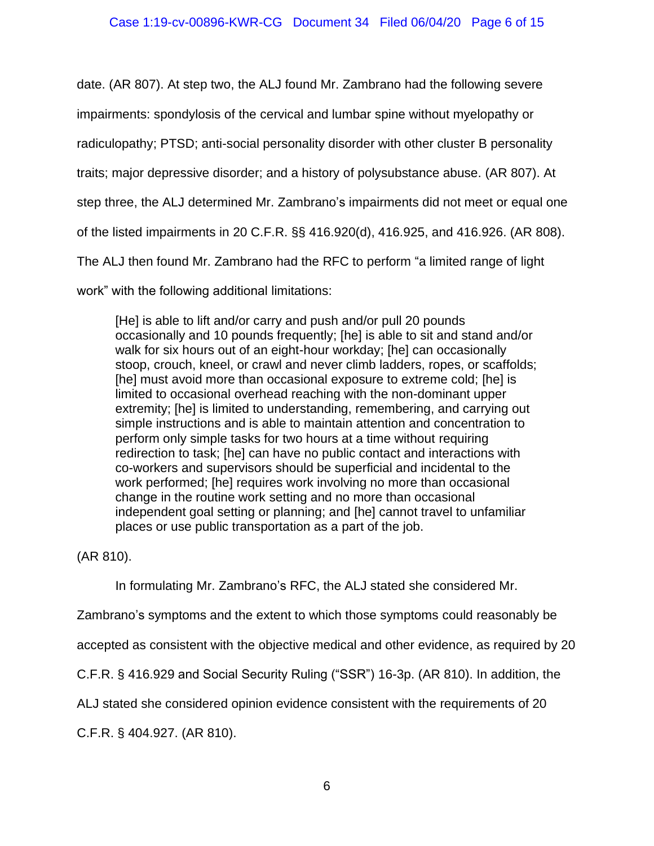date. (AR 807). At step two, the ALJ found Mr. Zambrano had the following severe

impairments: spondylosis of the cervical and lumbar spine without myelopathy or

radiculopathy; PTSD; anti-social personality disorder with other cluster B personality

traits; major depressive disorder; and a history of polysubstance abuse. (AR 807). At

step three, the ALJ determined Mr. Zambrano's impairments did not meet or equal one

of the listed impairments in 20 C.F.R. §§ 416.920(d), 416.925, and 416.926. (AR 808).

The ALJ then found Mr. Zambrano had the RFC to perform "a limited range of light

work" with the following additional limitations:

[He] is able to lift and/or carry and push and/or pull 20 pounds occasionally and 10 pounds frequently; [he] is able to sit and stand and/or walk for six hours out of an eight-hour workday; [he] can occasionally stoop, crouch, kneel, or crawl and never climb ladders, ropes, or scaffolds; [he] must avoid more than occasional exposure to extreme cold; [he] is limited to occasional overhead reaching with the non-dominant upper extremity; [he] is limited to understanding, remembering, and carrying out simple instructions and is able to maintain attention and concentration to perform only simple tasks for two hours at a time without requiring redirection to task; [he] can have no public contact and interactions with co-workers and supervisors should be superficial and incidental to the work performed; [he] requires work involving no more than occasional change in the routine work setting and no more than occasional independent goal setting or planning; and [he] cannot travel to unfamiliar places or use public transportation as a part of the job.

(AR 810).

In formulating Mr. Zambrano's RFC, the ALJ stated she considered Mr.

Zambrano's symptoms and the extent to which those symptoms could reasonably be

accepted as consistent with the objective medical and other evidence, as required by 20

C.F.R. § 416.929 and Social Security Ruling ("SSR") 16-3p. (AR 810). In addition, the

ALJ stated she considered opinion evidence consistent with the requirements of 20

C.F.R. § 404.927. (AR 810).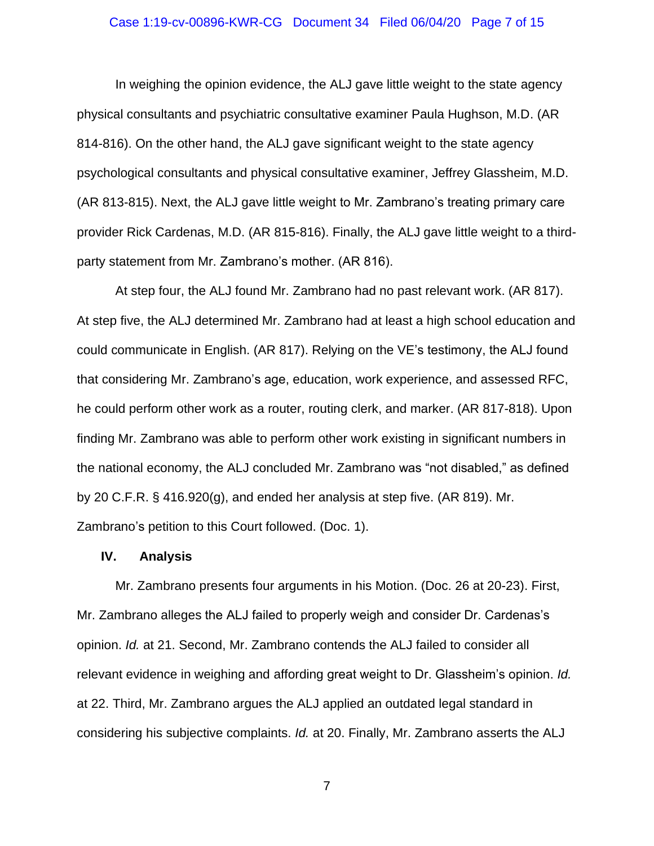#### Case 1:19-cv-00896-KWR-CG Document 34 Filed 06/04/20 Page 7 of 15

In weighing the opinion evidence, the ALJ gave little weight to the state agency physical consultants and psychiatric consultative examiner Paula Hughson, M.D. (AR 814-816). On the other hand, the ALJ gave significant weight to the state agency psychological consultants and physical consultative examiner, Jeffrey Glassheim, M.D. (AR 813-815). Next, the ALJ gave little weight to Mr. Zambrano's treating primary care provider Rick Cardenas, M.D. (AR 815-816). Finally, the ALJ gave little weight to a thirdparty statement from Mr. Zambrano's mother. (AR 816).

At step four, the ALJ found Mr. Zambrano had no past relevant work. (AR 817). At step five, the ALJ determined Mr. Zambrano had at least a high school education and could communicate in English. (AR 817). Relying on the VE's testimony, the ALJ found that considering Mr. Zambrano's age, education, work experience, and assessed RFC, he could perform other work as a router, routing clerk, and marker. (AR 817-818). Upon finding Mr. Zambrano was able to perform other work existing in significant numbers in the national economy, the ALJ concluded Mr. Zambrano was "not disabled," as defined by 20 C.F.R. § 416.920(g), and ended her analysis at step five. (AR 819). Mr. Zambrano's petition to this Court followed. (Doc. 1).

#### **IV. Analysis**

Mr. Zambrano presents four arguments in his Motion. (Doc. 26 at 20-23). First, Mr. Zambrano alleges the ALJ failed to properly weigh and consider Dr. Cardenas's opinion. *Id.* at 21. Second, Mr. Zambrano contends the ALJ failed to consider all relevant evidence in weighing and affording great weight to Dr. Glassheim's opinion. *Id.* at 22. Third, Mr. Zambrano argues the ALJ applied an outdated legal standard in considering his subjective complaints. *Id.* at 20. Finally, Mr. Zambrano asserts the ALJ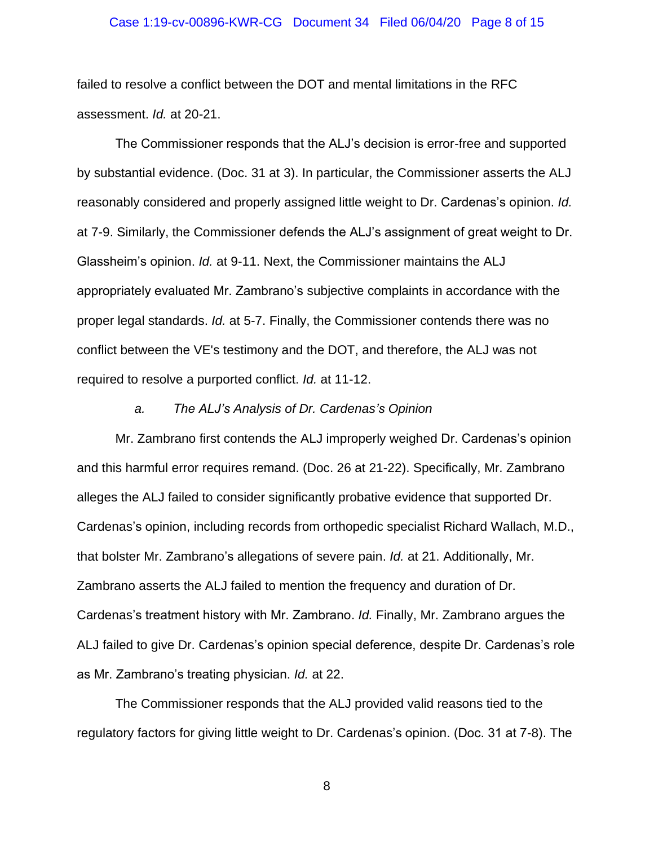#### Case 1:19-cv-00896-KWR-CG Document 34 Filed 06/04/20 Page 8 of 15

failed to resolve a conflict between the DOT and mental limitations in the RFC assessment. *Id.* at 20-21.

The Commissioner responds that the ALJ's decision is error-free and supported by substantial evidence. (Doc. 31 at 3). In particular, the Commissioner asserts the ALJ reasonably considered and properly assigned little weight to Dr. Cardenas's opinion. *Id.* at 7-9. Similarly, the Commissioner defends the ALJ's assignment of great weight to Dr. Glassheim's opinion. *Id.* at 9-11. Next, the Commissioner maintains the ALJ appropriately evaluated Mr. Zambrano's subjective complaints in accordance with the proper legal standards. *Id.* at 5-7. Finally, the Commissioner contends there was no conflict between the VE's testimony and the DOT, and therefore, the ALJ was not required to resolve a purported conflict. *Id.* at 11-12.

### *a. The ALJ's Analysis of Dr. Cardenas's Opinion*

Mr. Zambrano first contends the ALJ improperly weighed Dr. Cardenas's opinion and this harmful error requires remand. (Doc. 26 at 21-22). Specifically, Mr. Zambrano alleges the ALJ failed to consider significantly probative evidence that supported Dr. Cardenas's opinion, including records from orthopedic specialist Richard Wallach, M.D., that bolster Mr. Zambrano's allegations of severe pain. *Id.* at 21. Additionally, Mr. Zambrano asserts the ALJ failed to mention the frequency and duration of Dr. Cardenas's treatment history with Mr. Zambrano. *Id.* Finally, Mr. Zambrano argues the ALJ failed to give Dr. Cardenas's opinion special deference, despite Dr. Cardenas's role as Mr. Zambrano's treating physician. *Id.* at 22.

The Commissioner responds that the ALJ provided valid reasons tied to the regulatory factors for giving little weight to Dr. Cardenas's opinion. (Doc. 31 at 7-8). The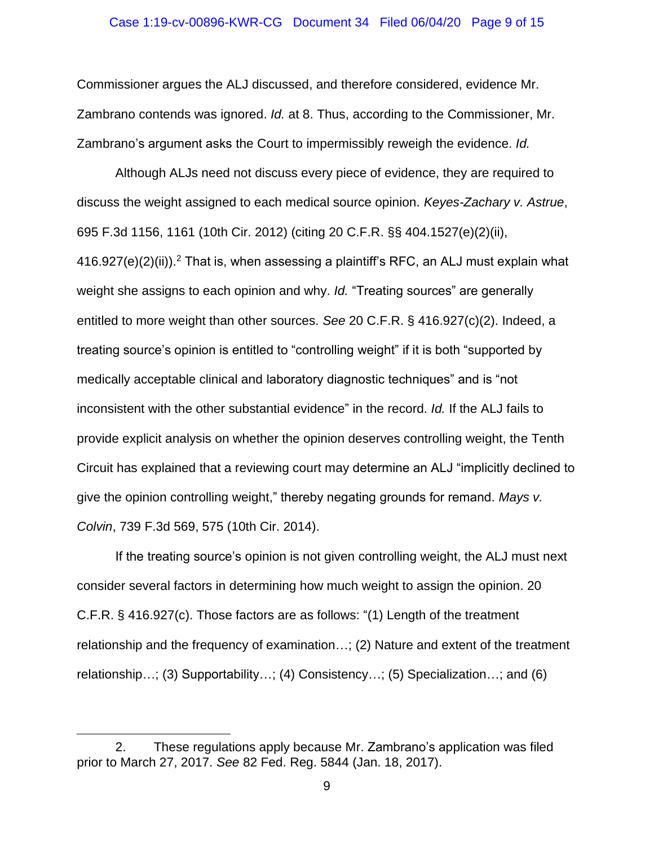#### Case 1:19-cv-00896-KWR-CG Document 34 Filed 06/04/20 Page 9 of 15

Commissioner argues the ALJ discussed, and therefore considered, evidence Mr. Zambrano contends was ignored. *Id.* at 8. Thus, according to the Commissioner, Mr. Zambrano's argument asks the Court to impermissibly reweigh the evidence. *Id.*

Although ALJs need not discuss every piece of evidence, they are required to discuss the weight assigned to each medical source opinion. *Keyes-Zachary v. Astrue*, 695 F.3d 1156, 1161 (10th Cir. 2012) (citing 20 C.F.R. §§ 404.1527(e)(2)(ii),  $416.927(e)(2)(ii)$ ).<sup>2</sup> That is, when assessing a plaintiff's RFC, an ALJ must explain what weight she assigns to each opinion and why. *Id.* "Treating sources" are generally entitled to more weight than other sources. *See* 20 C.F.R. § 416.927(c)(2). Indeed, a treating source's opinion is entitled to "controlling weight" if it is both "supported by medically acceptable clinical and laboratory diagnostic techniques" and is "not inconsistent with the other substantial evidence" in the record. *Id.* If the ALJ fails to provide explicit analysis on whether the opinion deserves controlling weight, the Tenth Circuit has explained that a reviewing court may determine an ALJ "implicitly declined to give the opinion controlling weight," thereby negating grounds for remand. *Mays v. Colvin*, 739 F.3d 569, 575 (10th Cir. 2014).

If the treating source's opinion is not given controlling weight, the ALJ must next consider several factors in determining how much weight to assign the opinion. 20 C.F.R. § 416.927(c). Those factors are as follows: "(1) Length of the treatment relationship and the frequency of examination…; (2) Nature and extent of the treatment relationship…; (3) Supportability…; (4) Consistency…; (5) Specialization…; and (6)

<sup>2.</sup> These regulations apply because Mr. Zambrano's application was filed prior to March 27, 2017. *See* 82 Fed. Reg. 5844 (Jan. 18, 2017).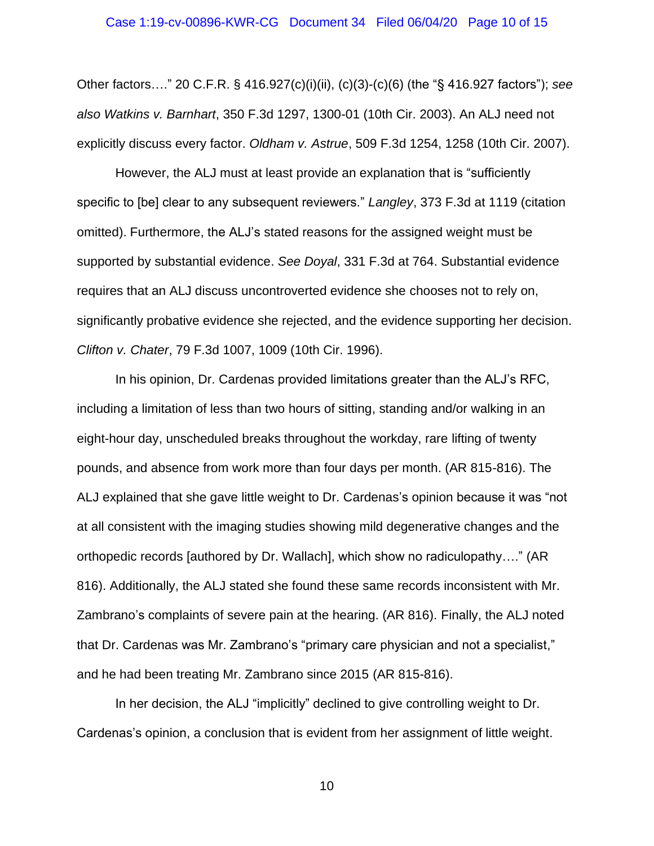Other factors…." 20 C.F.R. § 416.927(c)(i)(ii), (c)(3)-(c)(6) (the "§ 416.927 factors"); *see also Watkins v. Barnhart*, 350 F.3d 1297, 1300-01 (10th Cir. 2003). An ALJ need not explicitly discuss every factor. *Oldham v. Astrue*, 509 F.3d 1254, 1258 (10th Cir. 2007).

However, the ALJ must at least provide an explanation that is "sufficiently specific to [be] clear to any subsequent reviewers." *Langley*, 373 F.3d at 1119 (citation omitted). Furthermore, the ALJ's stated reasons for the assigned weight must be supported by substantial evidence. *See Doyal*, 331 F.3d at 764. Substantial evidence requires that an ALJ discuss uncontroverted evidence she chooses not to rely on, significantly probative evidence she rejected, and the evidence supporting her decision. *Clifton v. Chater*, 79 F.3d 1007, 1009 (10th Cir. 1996).

In his opinion, Dr. Cardenas provided limitations greater than the ALJ's RFC, including a limitation of less than two hours of sitting, standing and/or walking in an eight-hour day, unscheduled breaks throughout the workday, rare lifting of twenty pounds, and absence from work more than four days per month. (AR 815-816). The ALJ explained that she gave little weight to Dr. Cardenas's opinion because it was "not at all consistent with the imaging studies showing mild degenerative changes and the orthopedic records [authored by Dr. Wallach], which show no radiculopathy…." (AR 816). Additionally, the ALJ stated she found these same records inconsistent with Mr. Zambrano's complaints of severe pain at the hearing. (AR 816). Finally, the ALJ noted that Dr. Cardenas was Mr. Zambrano's "primary care physician and not a specialist," and he had been treating Mr. Zambrano since 2015 (AR 815-816).

In her decision, the ALJ "implicitly" declined to give controlling weight to Dr. Cardenas's opinion, a conclusion that is evident from her assignment of little weight.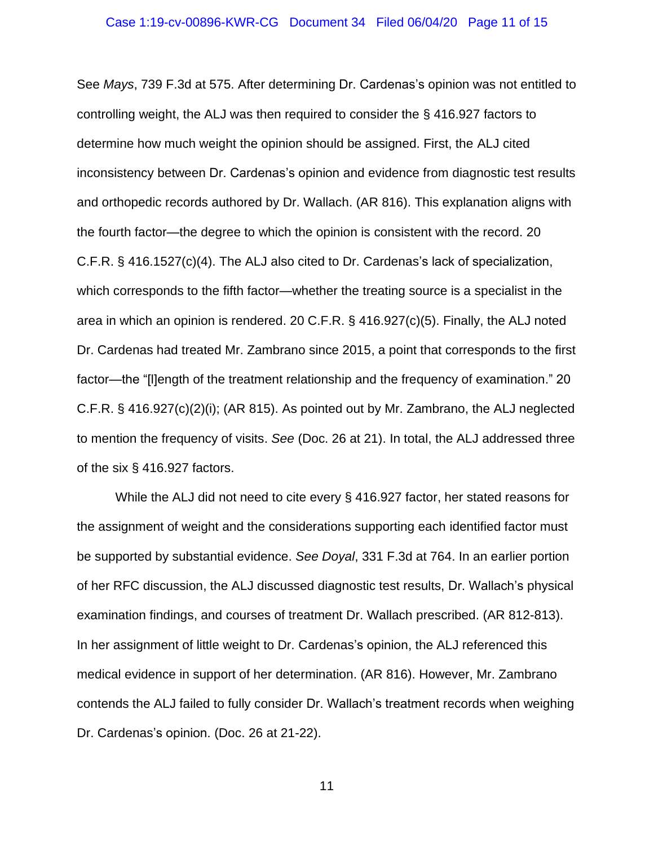See *Mays*, 739 F.3d at 575. After determining Dr. Cardenas's opinion was not entitled to controlling weight, the ALJ was then required to consider the § 416.927 factors to determine how much weight the opinion should be assigned. First, the ALJ cited inconsistency between Dr. Cardenas's opinion and evidence from diagnostic test results and orthopedic records authored by Dr. Wallach. (AR 816). This explanation aligns with the fourth factor—the degree to which the opinion is consistent with the record. 20 C.F.R. § 416.1527(c)(4). The ALJ also cited to Dr. Cardenas's lack of specialization, which corresponds to the fifth factor—whether the treating source is a specialist in the area in which an opinion is rendered. 20 C.F.R. § 416.927(c)(5). Finally, the ALJ noted Dr. Cardenas had treated Mr. Zambrano since 2015, a point that corresponds to the first factor—the "[l]ength of the treatment relationship and the frequency of examination." 20 C.F.R. § 416.927(c)(2)(i); (AR 815). As pointed out by Mr. Zambrano, the ALJ neglected to mention the frequency of visits. *See* (Doc. 26 at 21). In total, the ALJ addressed three of the six § 416.927 factors.

While the ALJ did not need to cite every § 416.927 factor, her stated reasons for the assignment of weight and the considerations supporting each identified factor must be supported by substantial evidence. *See Doyal*, 331 F.3d at 764. In an earlier portion of her RFC discussion, the ALJ discussed diagnostic test results, Dr. Wallach's physical examination findings, and courses of treatment Dr. Wallach prescribed. (AR 812-813). In her assignment of little weight to Dr. Cardenas's opinion, the ALJ referenced this medical evidence in support of her determination. (AR 816). However, Mr. Zambrano contends the ALJ failed to fully consider Dr. Wallach's treatment records when weighing Dr. Cardenas's opinion. (Doc. 26 at 21-22).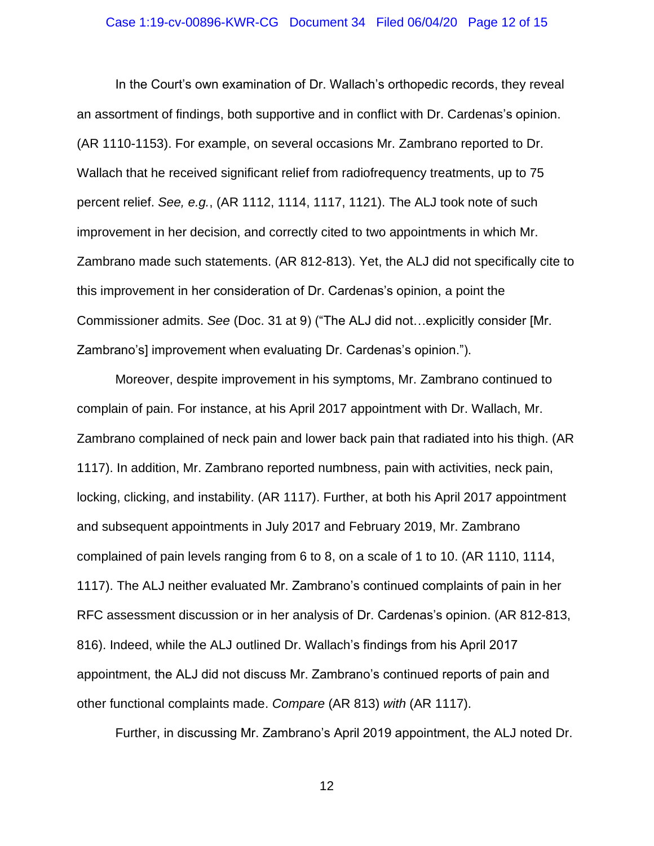# Case 1:19-cv-00896-KWR-CG Document 34 Filed 06/04/20 Page 12 of 15

In the Court's own examination of Dr. Wallach's orthopedic records, they reveal an assortment of findings, both supportive and in conflict with Dr. Cardenas's opinion. (AR 1110-1153). For example, on several occasions Mr. Zambrano reported to Dr. Wallach that he received significant relief from radiofrequency treatments, up to 75 percent relief. *See, e.g.*, (AR 1112, 1114, 1117, 1121). The ALJ took note of such improvement in her decision, and correctly cited to two appointments in which Mr. Zambrano made such statements. (AR 812-813). Yet, the ALJ did not specifically cite to this improvement in her consideration of Dr. Cardenas's opinion, a point the Commissioner admits. *See* (Doc. 31 at 9) ("The ALJ did not…explicitly consider [Mr. Zambrano's] improvement when evaluating Dr. Cardenas's opinion.").

Moreover, despite improvement in his symptoms, Mr. Zambrano continued to complain of pain. For instance, at his April 2017 appointment with Dr. Wallach, Mr. Zambrano complained of neck pain and lower back pain that radiated into his thigh. (AR 1117). In addition, Mr. Zambrano reported numbness, pain with activities, neck pain, locking, clicking, and instability. (AR 1117). Further, at both his April 2017 appointment and subsequent appointments in July 2017 and February 2019, Mr. Zambrano complained of pain levels ranging from 6 to 8, on a scale of 1 to 10. (AR 1110, 1114, 1117). The ALJ neither evaluated Mr. Zambrano's continued complaints of pain in her RFC assessment discussion or in her analysis of Dr. Cardenas's opinion. (AR 812-813, 816). Indeed, while the ALJ outlined Dr. Wallach's findings from his April 2017 appointment, the ALJ did not discuss Mr. Zambrano's continued reports of pain and other functional complaints made. *Compare* (AR 813) *with* (AR 1117).

Further, in discussing Mr. Zambrano's April 2019 appointment, the ALJ noted Dr.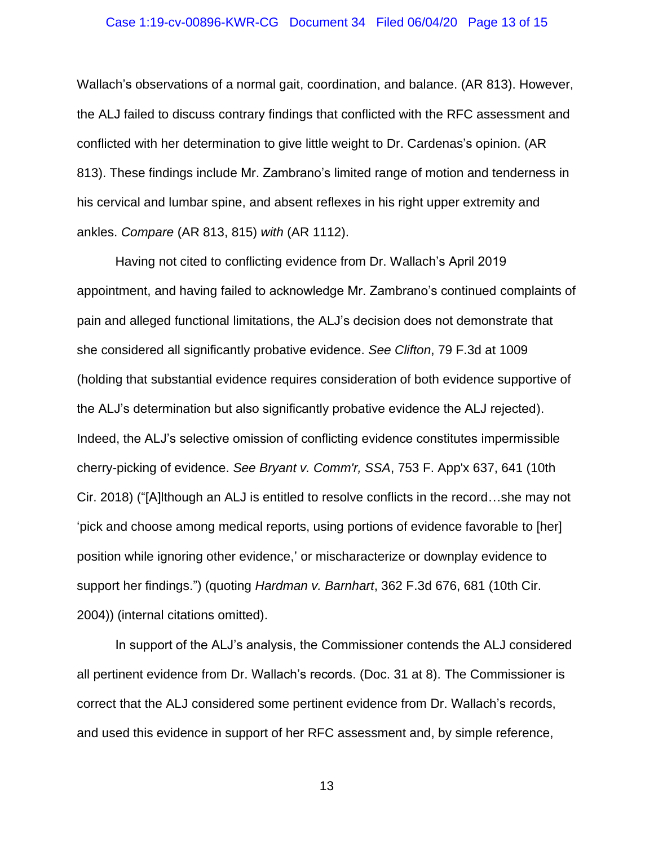# Case 1:19-cv-00896-KWR-CG Document 34 Filed 06/04/20 Page 13 of 15

Wallach's observations of a normal gait, coordination, and balance. (AR 813). However, the ALJ failed to discuss contrary findings that conflicted with the RFC assessment and conflicted with her determination to give little weight to Dr. Cardenas's opinion. (AR 813). These findings include Mr. Zambrano's limited range of motion and tenderness in his cervical and lumbar spine, and absent reflexes in his right upper extremity and ankles. *Compare* (AR 813, 815) *with* (AR 1112).

Having not cited to conflicting evidence from Dr. Wallach's April 2019 appointment, and having failed to acknowledge Mr. Zambrano's continued complaints of pain and alleged functional limitations, the ALJ's decision does not demonstrate that she considered all significantly probative evidence. *See Clifton*, 79 F.3d at 1009 (holding that substantial evidence requires consideration of both evidence supportive of the ALJ's determination but also significantly probative evidence the ALJ rejected). Indeed, the ALJ's selective omission of conflicting evidence constitutes impermissible cherry-picking of evidence. *See Bryant v. Comm'r, SSA*, 753 F. App'x 637, 641 (10th Cir. 2018) ("[A]lthough an ALJ is entitled to resolve conflicts in the record…she may not 'pick and choose among medical reports, using portions of evidence favorable to [her] position while ignoring other evidence,' or mischaracterize or downplay evidence to support her findings.") (quoting *Hardman v. Barnhart*, 362 F.3d 676, 681 (10th Cir. 2004)) (internal citations omitted).

In support of the ALJ's analysis, the Commissioner contends the ALJ considered all pertinent evidence from Dr. Wallach's records. (Doc. 31 at 8). The Commissioner is correct that the ALJ considered some pertinent evidence from Dr. Wallach's records, and used this evidence in support of her RFC assessment and, by simple reference,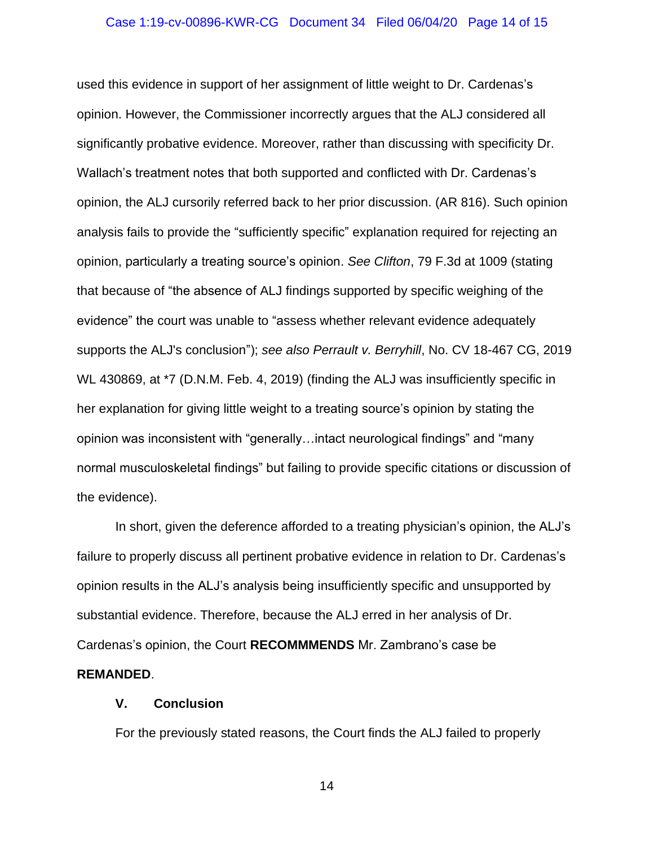#### Case 1:19-cv-00896-KWR-CG Document 34 Filed 06/04/20 Page 14 of 15

used this evidence in support of her assignment of little weight to Dr. Cardenas's opinion. However, the Commissioner incorrectly argues that the ALJ considered all significantly probative evidence. Moreover, rather than discussing with specificity Dr. Wallach's treatment notes that both supported and conflicted with Dr. Cardenas's opinion, the ALJ cursorily referred back to her prior discussion. (AR 816). Such opinion analysis fails to provide the "sufficiently specific" explanation required for rejecting an opinion, particularly a treating source's opinion. *See Clifton*, 79 F.3d at 1009 (stating that because of "the absence of ALJ findings supported by specific weighing of the evidence" the court was unable to "assess whether relevant evidence adequately supports the ALJ's conclusion"); *see also Perrault v. Berryhill*, No. CV 18-467 CG, 2019 WL 430869, at \*7 (D.N.M. Feb. 4, 2019) (finding the ALJ was insufficiently specific in her explanation for giving little weight to a treating source's opinion by stating the opinion was inconsistent with "generally…intact neurological findings" and "many normal musculoskeletal findings" but failing to provide specific citations or discussion of the evidence).

In short, given the deference afforded to a treating physician's opinion, the ALJ's failure to properly discuss all pertinent probative evidence in relation to Dr. Cardenas's opinion results in the ALJ's analysis being insufficiently specific and unsupported by substantial evidence. Therefore, because the ALJ erred in her analysis of Dr. Cardenas's opinion, the Court **RECOMMMENDS** Mr. Zambrano's case be **REMANDED**.

### **V. Conclusion**

For the previously stated reasons, the Court finds the ALJ failed to properly